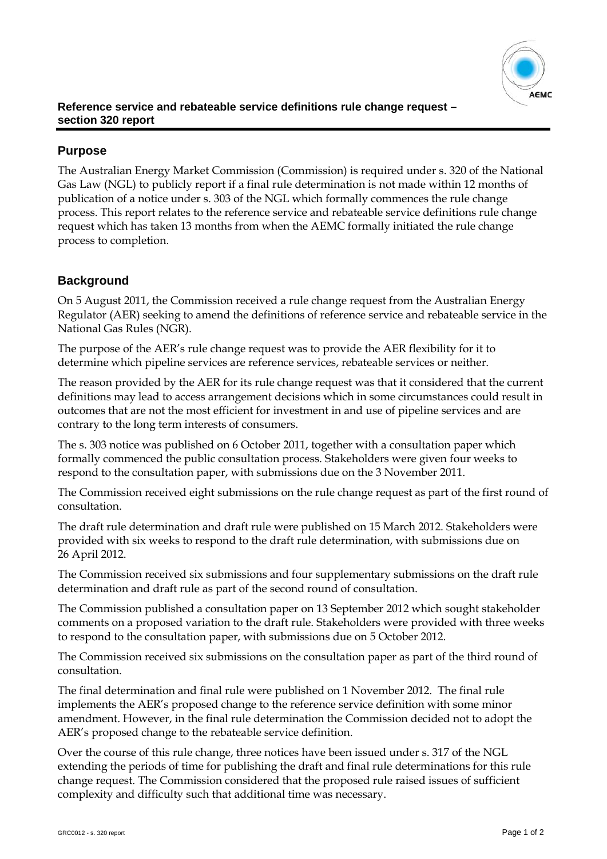

## **Purpose**

The Australian Energy Market Commission (Commission) is required under s. 320 of the National Gas Law (NGL) to publicly report if a final rule determination is not made within 12 months of publication of a notice under s. 303 of the NGL which formally commences the rule change process. This report relates to the reference service and rebateable service definitions rule change request which has taken 13 months from when the AEMC formally initiated the rule change process to completion.

## **Background**

On 5 August 2011, the Commission received a rule change request from the Australian Energy Regulator (AER) seeking to amend the definitions of reference service and rebateable service in the National Gas Rules (NGR).

The purpose of the AER's rule change request was to provide the AER flexibility for it to determine which pipeline services are reference services, rebateable services or neither.

The reason provided by the AER for its rule change request was that it considered that the current definitions may lead to access arrangement decisions which in some circumstances could result in outcomes that are not the most efficient for investment in and use of pipeline services and are contrary to the long term interests of consumers.

The s. 303 notice was published on 6 October 2011, together with a consultation paper which formally commenced the public consultation process. Stakeholders were given four weeks to respond to the consultation paper, with submissions due on the 3 November 2011.

The Commission received eight submissions on the rule change request as part of the first round of consultation.

The draft rule determination and draft rule were published on 15 March 2012. Stakeholders were provided with six weeks to respond to the draft rule determination, with submissions due on 26 April 2012.

The Commission received six submissions and four supplementary submissions on the draft rule determination and draft rule as part of the second round of consultation.

The Commission published a consultation paper on 13 September 2012 which sought stakeholder comments on a proposed variation to the draft rule. Stakeholders were provided with three weeks to respond to the consultation paper, with submissions due on 5 October 2012.

The Commission received six submissions on the consultation paper as part of the third round of consultation.

The final determination and final rule were published on 1 November 2012. The final rule implements the AER's proposed change to the reference service definition with some minor amendment. However, in the final rule determination the Commission decided not to adopt the AER's proposed change to the rebateable service definition.

Over the course of this rule change, three notices have been issued under s. 317 of the NGL extending the periods of time for publishing the draft and final rule determinations for this rule change request. The Commission considered that the proposed rule raised issues of sufficient complexity and difficulty such that additional time was necessary.